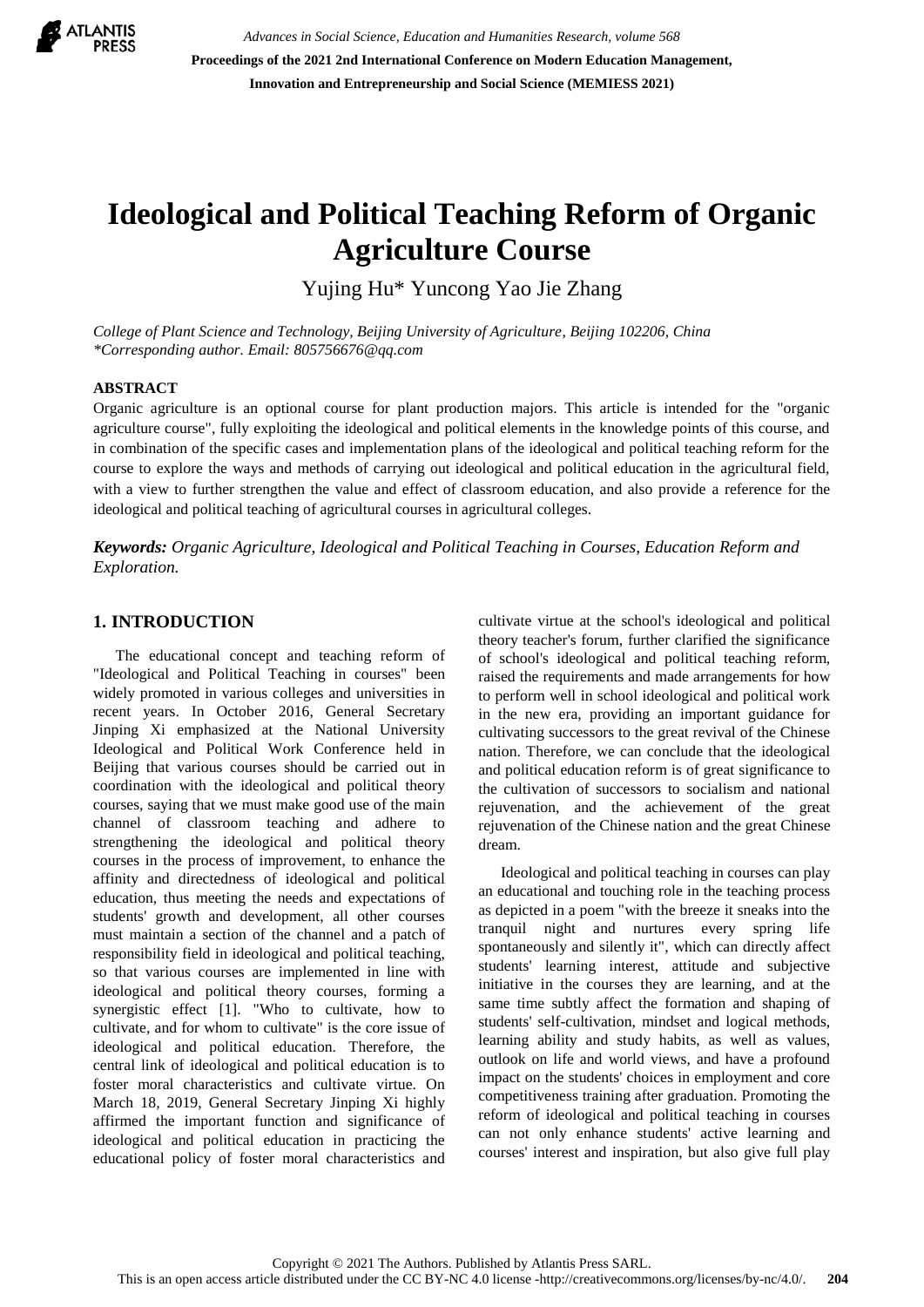

*Advances in Social Science, Education and Humanities Research, volume 568* **Proceedings of the 2021 2nd International Conference on Modern Education Management, Innovation and Entrepreneurship and Social Science (MEMIESS 2021)**

# **Ideological and Political Teaching Reform of Organic Agriculture Course**

Yujing Hu\* Yuncong Yao Jie Zhang

*College of Plant Science and Technology, Beijing University of Agriculture, Beijing 102206, China \*Corresponding author. Email: 805756676@qq.com*

#### **ABSTRACT**

Organic agriculture is an optional course for plant production majors. This article is intended for the "organic agriculture course", fully exploiting the ideological and political elements in the knowledge points of this course, and in combination of the specific cases and implementation plans of the ideological and political teaching reform for the course to explore the ways and methods of carrying out ideological and political education in the agricultural field, with a view to further strengthen the value and effect of classroom education, and also provide a reference for the ideological and political teaching of agricultural courses in agricultural colleges.

*Keywords: Organic Agriculture, Ideological and Political Teaching in Courses, Education Reform and Exploration.* 

#### **1. INTRODUCTION**

The educational concept and teaching reform of "Ideological and Political Teaching in courses" been widely promoted in various colleges and universities in recent years. In October 2016, General Secretary Jinping Xi emphasized at the National University Ideological and Political Work Conference held in Beijing that various courses should be carried out in coordination with the ideological and political theory courses, saying that we must make good use of the main channel of classroom teaching and adhere to strengthening the ideological and political theory courses in the process of improvement, to enhance the affinity and directedness of ideological and political education, thus meeting the needs and expectations of students' growth and development, all other courses must maintain a section of the channel and a patch of responsibility field in ideological and political teaching, so that various courses are implemented in line with ideological and political theory courses, forming a synergistic effect [1]. "Who to cultivate, how to cultivate, and for whom to cultivate" is the core issue of ideological and political education. Therefore, the central link of ideological and political education is to foster moral characteristics and cultivate virtue. On March 18, 2019, General Secretary Jinping Xi highly affirmed the important function and significance of ideological and political education in practicing the educational policy of foster moral characteristics and cultivate virtue at the school's ideological and political theory teacher's forum, further clarified the significance of school's ideological and political teaching reform, raised the requirements and made arrangements for how to perform well in school ideological and political work in the new era, providing an important guidance for cultivating successors to the great revival of the Chinese nation. Therefore, we can conclude that the ideological and political education reform is of great significance to the cultivation of successors to socialism and national rejuvenation, and the achievement of the great rejuvenation of the Chinese nation and the great Chinese dream.

Ideological and political teaching in courses can play an educational and touching role in the teaching process as depicted in a poem "with the breeze it sneaks into the tranquil night and nurtures every spring life spontaneously and silently it", which can directly affect students' learning interest, attitude and subjective initiative in the courses they are learning, and at the same time subtly affect the formation and shaping of students' self-cultivation, mindset and logical methods, learning ability and study habits, as well as values, outlook on life and world views, and have a profound impact on the students' choices in employment and core competitiveness training after graduation. Promoting the reform of ideological and political teaching in courses can not only enhance students' active learning and courses' interest and inspiration, but also give full play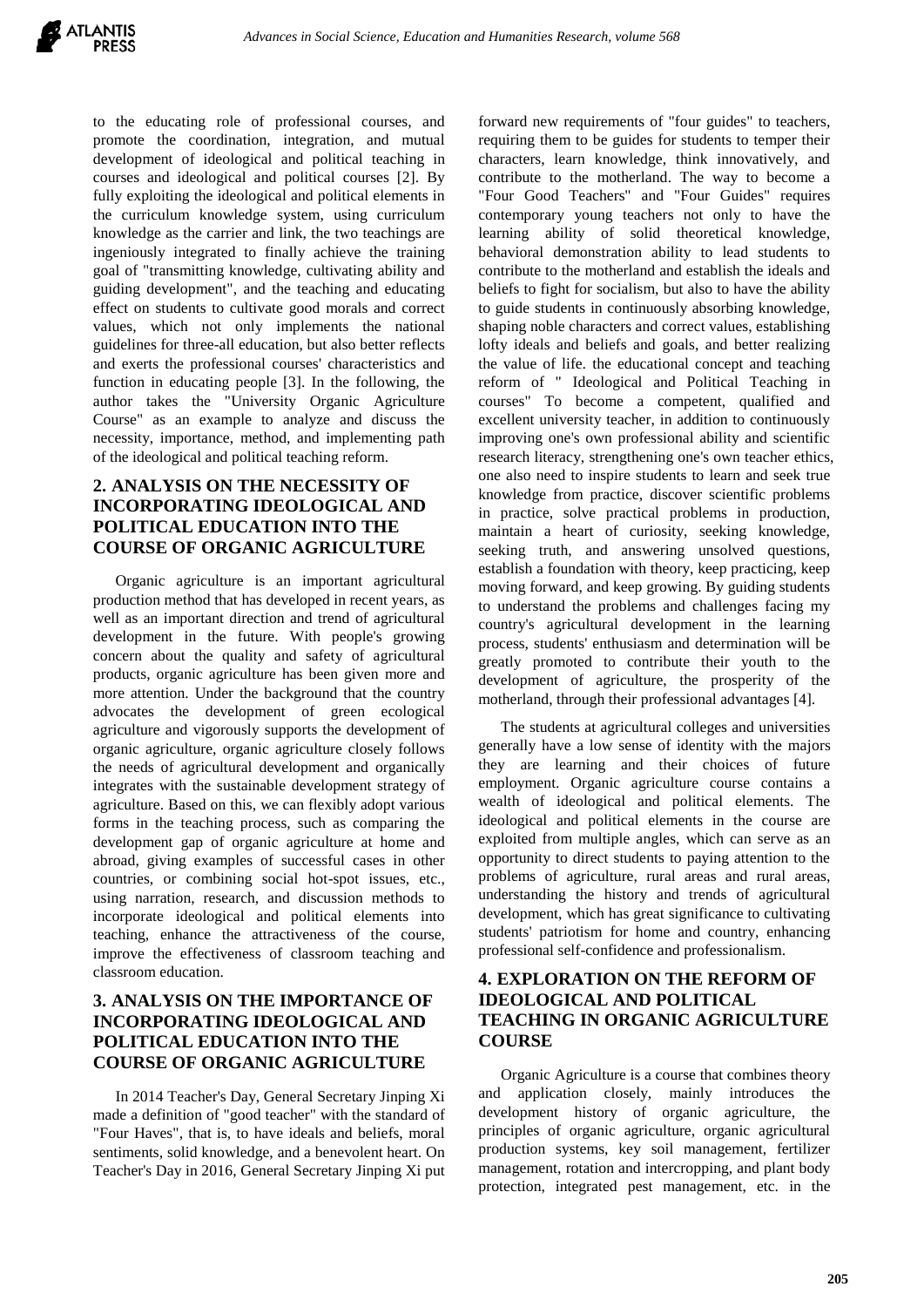to the educating role of professional courses, and promote the coordination, integration, and mutual development of ideological and political teaching in courses and ideological and political courses [2]. By fully exploiting the ideological and political elements in the curriculum knowledge system, using curriculum knowledge as the carrier and link, the two teachings are ingeniously integrated to finally achieve the training goal of "transmitting knowledge, cultivating ability and guiding development", and the teaching and educating effect on students to cultivate good morals and correct values, which not only implements the national guidelines for three-all education, but also better reflects and exerts the professional courses' characteristics and function in educating people [3]. In the following, the author takes the "University Organic Agriculture Course" as an example to analyze and discuss the necessity, importance, method, and implementing path of the ideological and political teaching reform.

# **2. ANALYSIS ON THE NECESSITY OF INCORPORATING IDEOLOGICAL AND POLITICAL EDUCATION INTO THE COURSE OF ORGANIC AGRICULTURE**

Organic agriculture is an important agricultural production method that has developed in recent years, as well as an important direction and trend of agricultural development in the future. With people's growing concern about the quality and safety of agricultural products, organic agriculture has been given more and more attention. Under the background that the country advocates the development of green ecological agriculture and vigorously supports the development of organic agriculture, organic agriculture closely follows the needs of agricultural development and organically integrates with the sustainable development strategy of agriculture. Based on this, we can flexibly adopt various forms in the teaching process, such as comparing the development gap of organic agriculture at home and abroad, giving examples of successful cases in other countries, or combining social hot-spot issues, etc., using narration, research, and discussion methods to incorporate ideological and political elements into teaching, enhance the attractiveness of the course, improve the effectiveness of classroom teaching and classroom education.

## **3. ANALYSIS ON THE IMPORTANCE OF INCORPORATING IDEOLOGICAL AND POLITICAL EDUCATION INTO THE COURSE OF ORGANIC AGRICULTURE**

In 2014 Teacher's Day, General Secretary Jinping Xi made a definition of "good teacher" with the standard of "Four Haves", that is, to have ideals and beliefs, moral sentiments, solid knowledge, and a benevolent heart. On Teacher's Day in 2016, General Secretary Jinping Xi put forward new requirements of "four guides" to teachers, requiring them to be guides for students to temper their characters, learn knowledge, think innovatively, and contribute to the motherland. The way to become a "Four Good Teachers" and "Four Guides" requires contemporary young teachers not only to have the learning ability of solid theoretical knowledge, behavioral demonstration ability to lead students to contribute to the motherland and establish the ideals and beliefs to fight for socialism, but also to have the ability to guide students in continuously absorbing knowledge, shaping noble characters and correct values, establishing lofty ideals and beliefs and goals, and better realizing the value of life. the educational concept and teaching reform of " Ideological and Political Teaching in courses" To become a competent, qualified and excellent university teacher, in addition to continuously improving one's own professional ability and scientific research literacy, strengthening one's own teacher ethics, one also need to inspire students to learn and seek true knowledge from practice, discover scientific problems in practice, solve practical problems in production, maintain a heart of curiosity, seeking knowledge, seeking truth, and answering unsolved questions, establish a foundation with theory, keep practicing, keep moving forward, and keep growing. By guiding students to understand the problems and challenges facing my country's agricultural development in the learning process, students' enthusiasm and determination will be greatly promoted to contribute their youth to the development of agriculture, the prosperity of the motherland, through their professional advantages [4].

The students at agricultural colleges and universities generally have a low sense of identity with the majors they are learning and their choices of future employment. Organic agriculture course contains a wealth of ideological and political elements. The ideological and political elements in the course are exploited from multiple angles, which can serve as an opportunity to direct students to paying attention to the problems of agriculture, rural areas and rural areas, understanding the history and trends of agricultural development, which has great significance to cultivating students' patriotism for home and country, enhancing professional self-confidence and professionalism.

## **4. EXPLORATION ON THE REFORM OF IDEOLOGICAL AND POLITICAL TEACHING IN ORGANIC AGRICULTURE COURSE**

Organic Agriculture is a course that combines theory and application closely, mainly introduces the development history of organic agriculture, the principles of organic agriculture, organic agricultural production systems, key soil management, fertilizer management, rotation and intercropping, and plant body protection, integrated pest management, etc. in the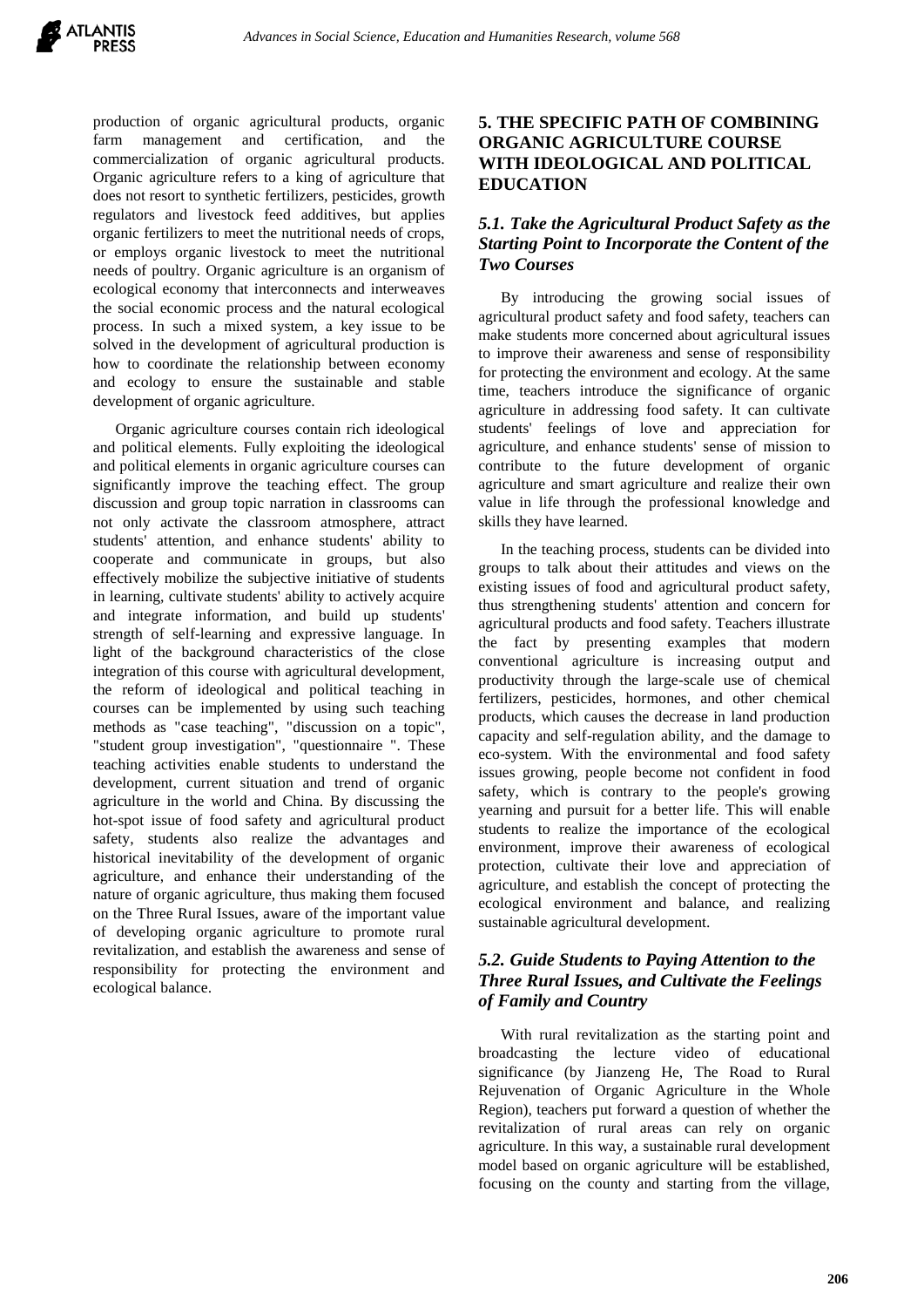

production of organic agricultural products, organic farm management and certification, and the commercialization of organic agricultural products. Organic agriculture refers to a king of agriculture that does not resort to synthetic fertilizers, pesticides, growth regulators and livestock feed additives, but applies organic fertilizers to meet the nutritional needs of crops, or employs organic livestock to meet the nutritional needs of poultry. Organic agriculture is an organism of ecological economy that interconnects and interweaves the social economic process and the natural ecological process. In such a mixed system, a key issue to be solved in the development of agricultural production is how to coordinate the relationship between economy and ecology to ensure the sustainable and stable development of organic agriculture.

Organic agriculture courses contain rich ideological and political elements. Fully exploiting the ideological and political elements in organic agriculture courses can significantly improve the teaching effect. The group discussion and group topic narration in classrooms can not only activate the classroom atmosphere, attract students' attention, and enhance students' ability to cooperate and communicate in groups, but also effectively mobilize the subjective initiative of students in learning, cultivate students' ability to actively acquire and integrate information, and build up students' strength of self-learning and expressive language. In light of the background characteristics of the close integration of this course with agricultural development, the reform of ideological and political teaching in courses can be implemented by using such teaching methods as "case teaching", "discussion on a topic", "student group investigation", "questionnaire ". These teaching activities enable students to understand the development, current situation and trend of organic agriculture in the world and China. By discussing the hot-spot issue of food safety and agricultural product safety, students also realize the advantages and historical inevitability of the development of organic agriculture, and enhance their understanding of the nature of organic agriculture, thus making them focused on the Three Rural Issues, aware of the important value of developing organic agriculture to promote rural revitalization, and establish the awareness and sense of responsibility for protecting the environment and ecological balance.

## **5. THE SPECIFIC PATH OF COMBINING ORGANIC AGRICULTURE COURSE WITH IDEOLOGICAL AND POLITICAL EDUCATION**

## *5.1. Take the Agricultural Product Safety as the Starting Point to Incorporate the Content of the Two Courses*

By introducing the growing social issues of agricultural product safety and food safety, teachers can make students more concerned about agricultural issues to improve their awareness and sense of responsibility for protecting the environment and ecology. At the same time, teachers introduce the significance of organic agriculture in addressing food safety. It can cultivate students' feelings of love and appreciation for agriculture, and enhance students' sense of mission to contribute to the future development of organic agriculture and smart agriculture and realize their own value in life through the professional knowledge and skills they have learned.

In the teaching process, students can be divided into groups to talk about their attitudes and views on the existing issues of food and agricultural product safety, thus strengthening students' attention and concern for agricultural products and food safety. Teachers illustrate the fact by presenting examples that modern conventional agriculture is increasing output and productivity through the large-scale use of chemical fertilizers, pesticides, hormones, and other chemical products, which causes the decrease in land production capacity and self-regulation ability, and the damage to eco-system. With the environmental and food safety issues growing, people become not confident in food safety, which is contrary to the people's growing yearning and pursuit for a better life. This will enable students to realize the importance of the ecological environment, improve their awareness of ecological protection, cultivate their love and appreciation of agriculture, and establish the concept of protecting the ecological environment and balance, and realizing sustainable agricultural development.

## *5.2. Guide Students to Paying Attention to the Three Rural Issues, and Cultivate the Feelings of Family and Country*

With rural revitalization as the starting point and broadcasting the lecture video of educational significance (by Jianzeng He, The Road to Rural Rejuvenation of Organic Agriculture in the Whole Region), teachers put forward a question of whether the revitalization of rural areas can rely on organic agriculture. In this way, a sustainable rural development model based on organic agriculture will be established, focusing on the county and starting from the village,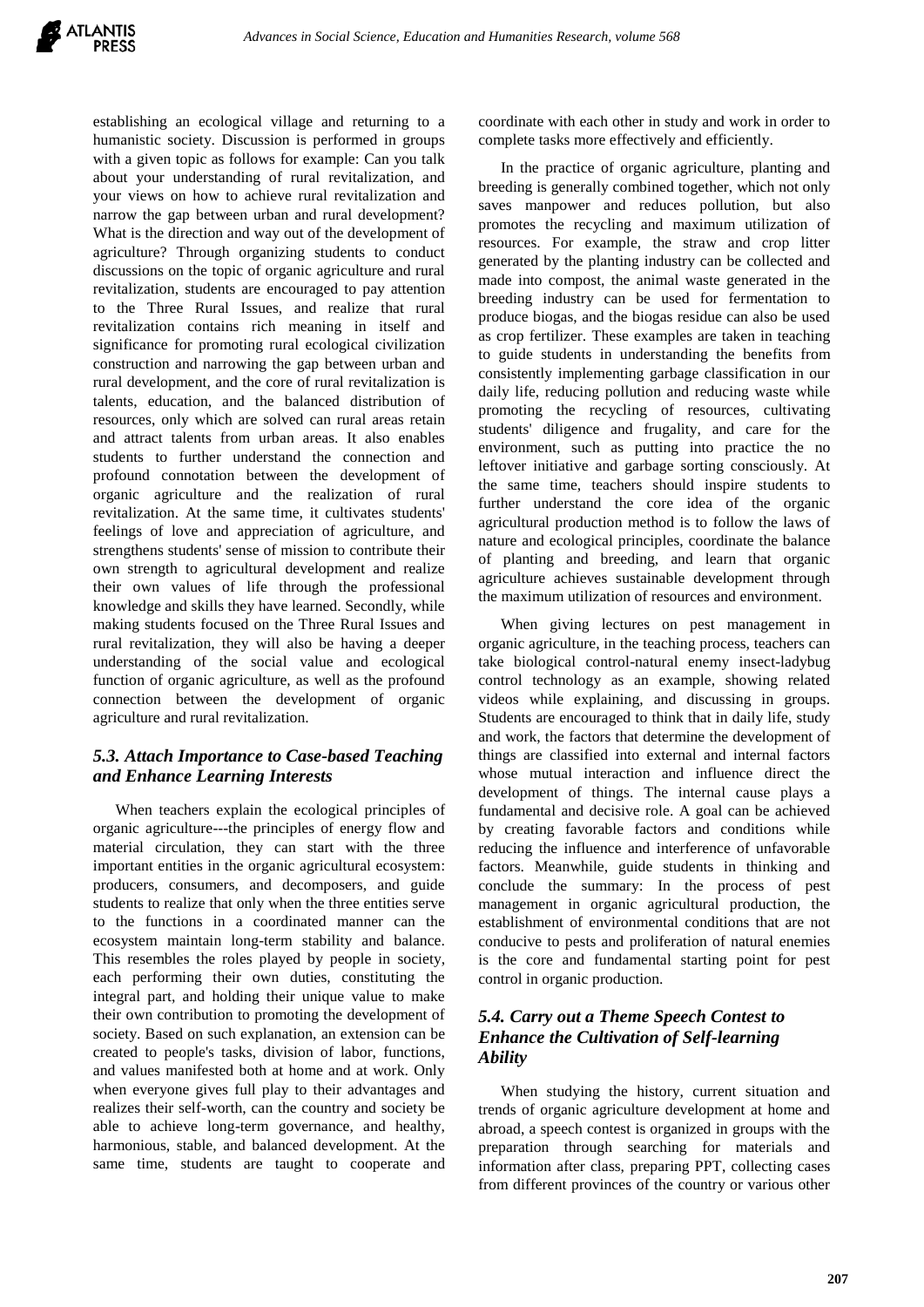establishing an ecological village and returning to a humanistic society. Discussion is performed in groups with a given topic as follows for example: Can you talk about your understanding of rural revitalization, and your views on how to achieve rural revitalization and narrow the gap between urban and rural development? What is the direction and way out of the development of agriculture? Through organizing students to conduct discussions on the topic of organic agriculture and rural revitalization, students are encouraged to pay attention to the Three Rural Issues, and realize that rural revitalization contains rich meaning in itself and significance for promoting rural ecological civilization construction and narrowing the gap between urban and rural development, and the core of rural revitalization is talents, education, and the balanced distribution of resources, only which are solved can rural areas retain and attract talents from urban areas. It also enables students to further understand the connection and profound connotation between the development of organic agriculture and the realization of rural revitalization. At the same time, it cultivates students' feelings of love and appreciation of agriculture, and strengthens students' sense of mission to contribute their own strength to agricultural development and realize their own values of life through the professional knowledge and skills they have learned. Secondly, while making students focused on the Three Rural Issues and rural revitalization, they will also be having a deeper understanding of the social value and ecological function of organic agriculture, as well as the profound connection between the development of organic agriculture and rural revitalization.

## *5.3. Attach Importance to Case-based Teaching and Enhance Learning Interests*

When teachers explain the ecological principles of organic agriculture---the principles of energy flow and material circulation, they can start with the three important entities in the organic agricultural ecosystem: producers, consumers, and decomposers, and guide students to realize that only when the three entities serve to the functions in a coordinated manner can the ecosystem maintain long-term stability and balance. This resembles the roles played by people in society, each performing their own duties, constituting the integral part, and holding their unique value to make their own contribution to promoting the development of society. Based on such explanation, an extension can be created to people's tasks, division of labor, functions, and values manifested both at home and at work. Only when everyone gives full play to their advantages and realizes their self-worth, can the country and society be able to achieve long-term governance, and healthy, harmonious, stable, and balanced development. At the same time, students are taught to cooperate and coordinate with each other in study and work in order to complete tasks more effectively and efficiently.

In the practice of organic agriculture, planting and breeding is generally combined together, which not only saves manpower and reduces pollution, but also promotes the recycling and maximum utilization of resources. For example, the straw and crop litter generated by the planting industry can be collected and made into compost, the animal waste generated in the breeding industry can be used for fermentation to produce biogas, and the biogas residue can also be used as crop fertilizer. These examples are taken in teaching to guide students in understanding the benefits from consistently implementing garbage classification in our daily life, reducing pollution and reducing waste while promoting the recycling of resources, cultivating students' diligence and frugality, and care for the environment, such as putting into practice the no leftover initiative and garbage sorting consciously. At the same time, teachers should inspire students to further understand the core idea of the organic agricultural production method is to follow the laws of nature and ecological principles, coordinate the balance of planting and breeding, and learn that organic agriculture achieves sustainable development through the maximum utilization of resources and environment.

When giving lectures on pest management in organic agriculture, in the teaching process, teachers can take biological control-natural enemy insect-ladybug control technology as an example, showing related videos while explaining, and discussing in groups. Students are encouraged to think that in daily life, study and work, the factors that determine the development of things are classified into external and internal factors whose mutual interaction and influence direct the development of things. The internal cause plays a fundamental and decisive role. A goal can be achieved by creating favorable factors and conditions while reducing the influence and interference of unfavorable factors. Meanwhile, guide students in thinking and conclude the summary: In the process of pest management in organic agricultural production, the establishment of environmental conditions that are not conducive to pests and proliferation of natural enemies is the core and fundamental starting point for pest control in organic production.

# *5.4. Carry out a Theme Speech Contest to Enhance the Cultivation of Self-learning Ability*

When studying the history, current situation and trends of organic agriculture development at home and abroad, a speech contest is organized in groups with the preparation through searching for materials and information after class, preparing PPT, collecting cases from different provinces of the country or various other